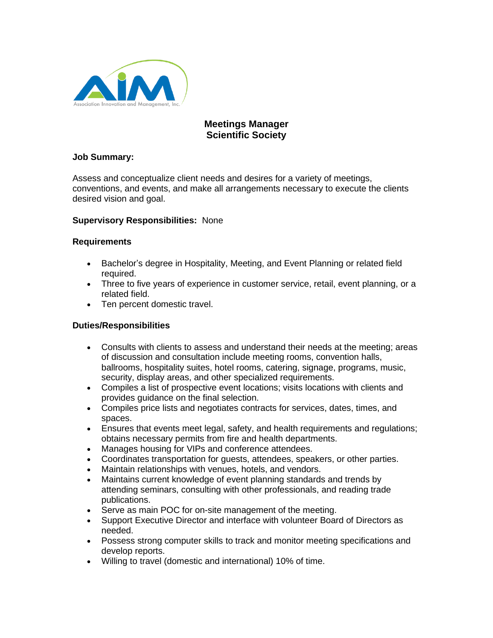

# **Meetings Manager Scientific Society**

#### **Job Summary:**

Assess and conceptualize client needs and desires for a variety of meetings, conventions, and events, and make all arrangements necessary to execute the clients desired vision and goal.

#### **Supervisory Responsibilities:** None

#### **Requirements**

- Bachelor's degree in Hospitality, Meeting, and Event Planning or related field required.
- Three to five years of experience in customer service, retail, event planning, or a related field.
- Ten percent domestic travel.

## **Duties/Responsibilities**

- Consults with clients to assess and understand their needs at the meeting; areas of discussion and consultation include meeting rooms, convention halls, ballrooms, hospitality suites, hotel rooms, catering, signage, programs, music, security, display areas, and other specialized requirements.
- Compiles a list of prospective event locations; visits locations with clients and provides guidance on the final selection.
- Compiles price lists and negotiates contracts for services, dates, times, and spaces.
- Ensures that events meet legal, safety, and health requirements and regulations; obtains necessary permits from fire and health departments.
- Manages housing for VIPs and conference attendees.
- Coordinates transportation for guests, attendees, speakers, or other parties.
- Maintain relationships with venues, hotels, and vendors.
- Maintains current knowledge of event planning standards and trends by attending seminars, consulting with other professionals, and reading trade publications.
- Serve as main POC for on-site management of the meeting.
- Support Executive Director and interface with volunteer Board of Directors as needed.
- Possess strong computer skills to track and monitor meeting specifications and develop reports.
- Willing to travel (domestic and international) 10% of time.